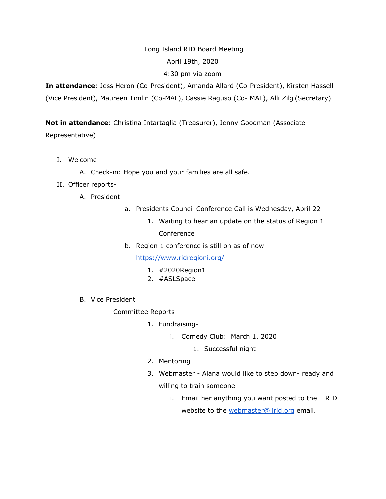## Long Island RID Board Meeting

#### April 19th, 2020

## 4:30 pm via zoom

**In attendance**: Jess Heron (Co-President), Amanda Allard (Co-President), Kirsten Hassell (Vice President), Maureen Timlin (Co-MAL), Cassie Raguso (Co- MAL), Alli Zilg (Secretary)

**Not in attendance**: Christina Intartaglia (Treasurer), Jenny Goodman (Associate Representative)

- I. Welcome
	- A. Check-in: Hope you and your families are all safe.
- II. Officer reports-
	- A. President
- a. Presidents Council Conference Call is Wednesday, April 22
	- 1. Waiting to hear an update on the status of Region 1 Conference
- b. Region 1 conference is still on as of now

<https://www.ridregioni.org/>

- 1. #2020Region1
- 2. #ASLSpace
- B. Vice President

# Committee Reports

- 1. Fundraising
	- i. Comedy Club: March 1, 2020
		- 1. Successful night
- 2. Mentoring
- 3. Webmaster Alana would like to step down- ready and willing to train someone
	- i. Email her anything you want posted to the LIRID website to the [webmaster@lirid.org](mailto:webmaster@lirid.org) email.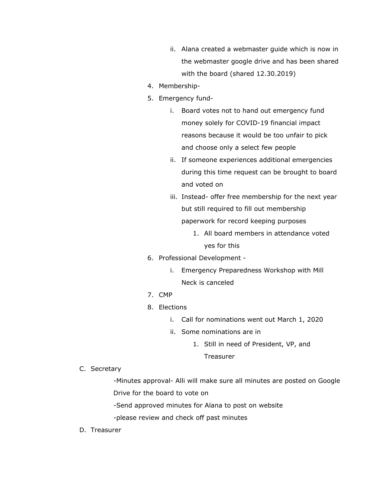- ii. Alana created a webmaster guide which is now in the webmaster google drive and has been shared with the board (shared 12.30.2019)
- 4. Membership-
- 5. Emergency fund
	- i. Board votes not to hand out emergency fund money solely for COVID-19 financial impact reasons because it would be too unfair to pick and choose only a select few people
	- ii. If someone experiences additional emergencies during this time request can be brought to board and voted on
	- iii. Instead- offer free membership for the next year but still required to fill out membership paperwork for record keeping purposes
		- 1. All board members in attendance voted yes for this
- 6. Professional Development
	- i. Emergency Preparedness Workshop with Mill Neck is canceled
- 7. CMP
- 8. Elections
	- i. Call for nominations went out March 1, 2020
	- ii. Some nominations are in
		- 1. Still in need of President, VP, and

Treasurer

C. Secretary

-Minutes approval- Alli will make sure all minutes are posted on Google Drive for the board to vote on

-Send approved minutes for Alana to post on website

-please review and check off past minutes

D. Treasurer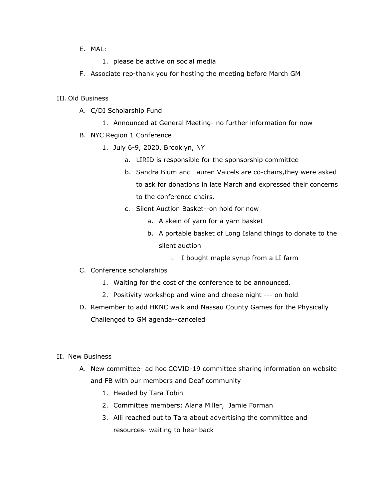#### E. MAL:

- 1. please be active on social media
- F. Associate rep-thank you for hosting the meeting before March GM

#### III. Old Business

- A. C/DI Scholarship Fund
	- 1. Announced at General Meeting- no further information for now
- B. NYC Region 1 Conference
	- 1. July 6-9, 2020, Brooklyn, NY
		- a. LIRID is responsible for the sponsorship committee
		- b. Sandra Blum and Lauren Vaicels are co-chairs,they were asked to ask for donations in late March and expressed their concerns to the conference chairs.
		- c. Silent Auction Basket--on hold for now
			- a. A skein of yarn for a yarn basket
			- b. A portable basket of Long Island things to donate to the silent auction
				- i. I bought maple syrup from a LI farm
- C. Conference scholarships
	- 1. Waiting for the cost of the conference to be announced.
	- 2. Positivity workshop and wine and cheese night --- on hold
- D. Remember to add HKNC walk and Nassau County Games for the Physically Challenged to GM agenda--canceled

# II. New Business

- A. New committee- ad hoc COVID-19 committee sharing information on website and FB with our members and Deaf community
	- 1. Headed by Tara Tobin
	- 2. Committee members: Alana Miller, Jamie Forman
	- 3. Alli reached out to Tara about advertising the committee and resources- waiting to hear back